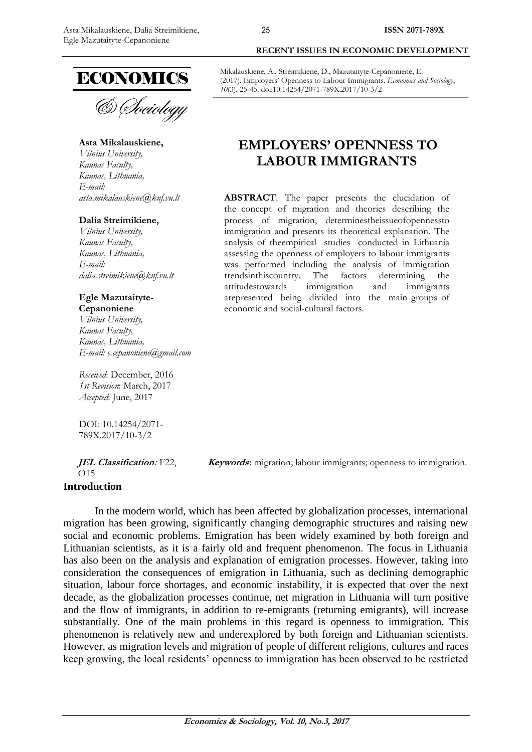

& *Cheiology* 

**Asta Mikalauskiene,** 

*Vilnius University, Kaunas Faculty, [Kaunas, Lithuania,](https://en.wikipedia.org/wiki/Podgorica) E-mail: asta.mikalauskiene@knf.vu.lt*

#### **Dalia Streimikiene,**

*Vilnius University, Kaunas Faculty, [Kaunas, Lithuania,](https://en.wikipedia.org/wiki/Podgorica) E-mail: dalia.streimikiene@knf.vu.lt*

### **Egle Mazutaityte-Cepanoniene**

*Vilnius University, Kaunas Faculty, [Kaunas, Lithuania,](https://en.wikipedia.org/wiki/Podgorica) E-mail: e.cepanoniene@gmail.com*

*Received*: December, 2016 *1st Revision*: March, 2017 *Accepted*: June, 2017

DOI: 10.14254/2071- 789X.2017/10-3/2

**JEL Classification***:* F22,  $\Omega$ 15

**Keywords**: migration; labour immigrants; openness to immigration.

## **Introduction**

In the modern world, which has been affected by globalization processes, international migration has been growing, significantly changing demographic structures and raising new social and economic problems. Emigration has been widely examined by both foreign and Lithuanian scientists, as it is a fairly old and frequent phenomenon. The focus in Lithuania has also been on the analysis and explanation of emigration processes. However, taking into consideration the consequences of emigration in Lithuania, such as declining demographic situation, labour force shortages, and economic instability, it is expected that over the next decade, as the globalization processes continue, net migration in Lithuania will turn positive and the flow of immigrants, in addition to re-emigrants (returning emigrants), will increase substantially. One of the main problems in this regard is openness to immigration. This phenomenon is relatively new and underexplored by both foreign and Lithuanian scientists. However, as migration levels and migration of people of different religions, cultures and races keep growing, the local residents" openness to immigration has been observed to be restricted

Mikalauskiene, A., Streimikiene, D., Mazutaityte-Cepanoniene, E. (2017). Employers' Openness to Labour Immigrants. *Economics and Sociology*, *10*(3), 25-45. doi:10.14254/2071-789X.2017/10-3/2

# **EMPLOYERS' OPENNESS TO LABOUR IMMIGRANTS**

**ABSTRACT**. The paper presents the elucidation of the concept of migration and theories describing the process of migration, determinestheissueofopennessto immigration and presents its theoretical explanation. The analysis of theempirical studies conducted in Lithuania assessing the openness of employers to labour immigrants was performed including the analysis of immigration trendsinthiscountry. The factors determining the attitudestowards immigration and immigrants arepresented being divided into the main groups of economic and social-cultural factors.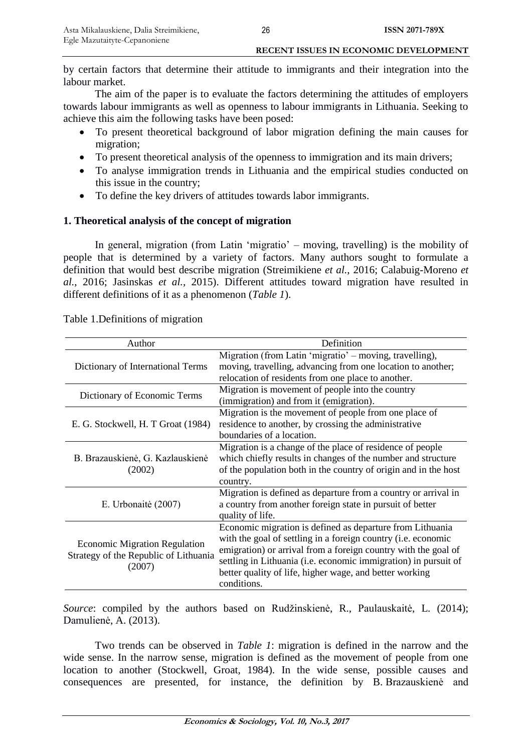by certain factors that determine their attitude to immigrants and their integration into the labour market.

The aim of the paper is to evaluate the factors determining the attitudes of employers towards labour immigrants as well as openness to labour immigrants in Lithuania. Seeking to achieve this aim the following tasks have been posed:

- To present theoretical background of labor migration defining the main causes for migration;
- To present theoretical analysis of the openness to immigration and its main drivers;
- To analyse immigration trends in Lithuania and the empirical studies conducted on this issue in the country;
- To define the key drivers of attitudes towards labor immigrants.

# **1. Theoretical analysis of the concept of migration**

In general, migration (from Latin "migratio" – moving, travelling) is the mobility of people that is determined by a variety of factors. Many authors sought to formulate a definition that would best describe migration (Streimikiene *et al.*, 2016; Calabuig-Moreno *et al.*, 2016; Jasinskas *et al.*, 2015). Different attitudes toward migration have resulted in different definitions of it as a phenomenon (*Table 1*).

| Author                                                                                  | Definition                                                                                                                                                                                                                                                                                                                                |
|-----------------------------------------------------------------------------------------|-------------------------------------------------------------------------------------------------------------------------------------------------------------------------------------------------------------------------------------------------------------------------------------------------------------------------------------------|
| Dictionary of International Terms                                                       | Migration (from Latin 'migratio' – moving, travelling),<br>moving, travelling, advancing from one location to another;<br>relocation of residents from one place to another.                                                                                                                                                              |
| Dictionary of Economic Terms                                                            | Migration is movement of people into the country<br>(immigration) and from it (emigration).                                                                                                                                                                                                                                               |
| E. G. Stockwell, H. T Groat (1984)                                                      | Migration is the movement of people from one place of<br>residence to another, by crossing the administrative<br>boundaries of a location.                                                                                                                                                                                                |
| B. Brazauskienė, G. Kazlauskienė<br>(2002)                                              | Migration is a change of the place of residence of people<br>which chiefly results in changes of the number and structure<br>of the population both in the country of origin and in the host<br>country.                                                                                                                                  |
| E. Urbonaitė (2007)                                                                     | Migration is defined as departure from a country or arrival in<br>a country from another foreign state in pursuit of better<br>quality of life.                                                                                                                                                                                           |
| <b>Economic Migration Regulation</b><br>Strategy of the Republic of Lithuania<br>(2007) | Economic migration is defined as departure from Lithuania<br>with the goal of settling in a foreign country (i.e. economic<br>emigration) or arrival from a foreign country with the goal of<br>settling in Lithuania (i.e. economic immigration) in pursuit of<br>better quality of life, higher wage, and better working<br>conditions. |

Table 1.Definitions of migration

*Source*: compiled by the authors based on Rudžinskienė, R., Paulauskaitė, L. (2014); Damulienė, A. (2013).

Two trends can be observed in *Table 1*: migration is defined in the narrow and the wide sense. In the narrow sense, migration is defined as the movement of people from one location to another (Stockwell, Groat, 1984). In the wide sense, possible causes and consequences are presented, for instance, the definition by B. Brazauskienė and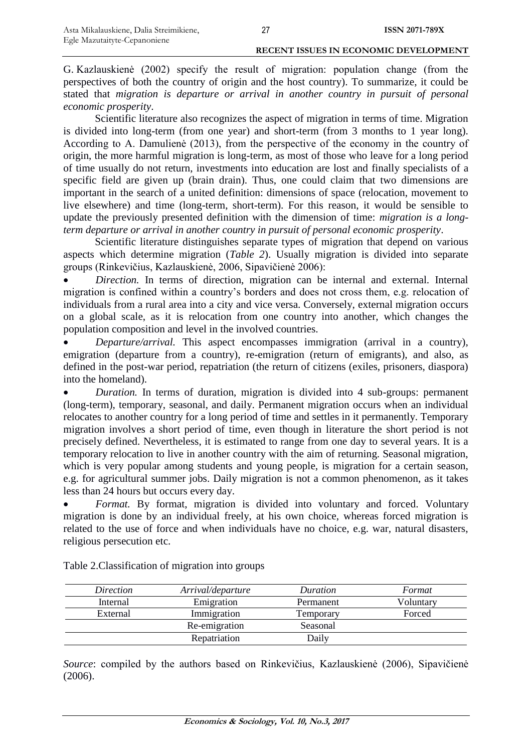G. Kazlauskienė (2002) specify the result of migration: population change (from the perspectives of both the country of origin and the host country). To summarize, it could be stated that *migration is departure or arrival in another country in pursuit of personal economic prosperity*.

Scientific literature also recognizes the aspect of migration in terms of time. Migration is divided into long-term (from one year) and short-term (from 3 months to 1 year long). According to A. Damulienė (2013), from the perspective of the economy in the country of origin, the more harmful migration is long-term, as most of those who leave for a long period of time usually do not return, investments into education are lost and finally specialists of a specific field are given up (brain drain). Thus, one could claim that two dimensions are important in the search of a united definition: dimensions of space (relocation, movement to live elsewhere) and time (long-term, short-term). For this reason, it would be sensible to update the previously presented definition with the dimension of time: *migration is a longterm departure or arrival in another country in pursuit of personal economic prosperity*.

Scientific literature distinguishes separate types of migration that depend on various aspects which determine migration (*Table 2*). Usually migration is divided into separate groups (Rinkevičius, Kazlauskienė, 2006, Sipavičienė 2006):

 *Direction.* In terms of direction, migration can be internal and external. Internal migration is confined within a country"s borders and does not cross them, e.g. relocation of individuals from a rural area into a city and vice versa. Conversely, external migration occurs on a global scale, as it is relocation from one country into another, which changes the population composition and level in the involved countries.

 *Departure/arrival.* This aspect encompasses immigration (arrival in a country), emigration (departure from a country), re-emigration (return of emigrants), and also, as defined in the post-war period, repatriation (the return of citizens (exiles, prisoners, diaspora) into the homeland).

 *Duration.* In terms of duration, migration is divided into 4 sub-groups: permanent (long-term), temporary, seasonal, and daily. Permanent migration occurs when an individual relocates to another country for a long period of time and settles in it permanently. Temporary migration involves a short period of time, even though in literature the short period is not precisely defined. Nevertheless, it is estimated to range from one day to several years. It is a temporary relocation to live in another country with the aim of returning. Seasonal migration, which is very popular among students and young people, is migration for a certain season, e.g. for agricultural summer jobs. Daily migration is not a common phenomenon, as it takes less than 24 hours but occurs every day.

 *Format.* By format, migration is divided into voluntary and forced. Voluntary migration is done by an individual freely, at his own choice, whereas forced migration is related to the use of force and when individuals have no choice, e.g. war, natural disasters, religious persecution etc.

| Direction | Arrival/departure | Duration  | Format    |
|-----------|-------------------|-----------|-----------|
| Internal  | Emigration        | Permanent | Voluntary |
| External  | Immigration       | Temporary | Forced    |
|           | Re-emigration     | Seasonal  |           |
|           | Repatriation      | Daily     |           |

Table 2.Classification of migration into groups

*Source*: compiled by the authors based on Rinkevičius, Kazlauskienė (2006), Sipavičienė (2006).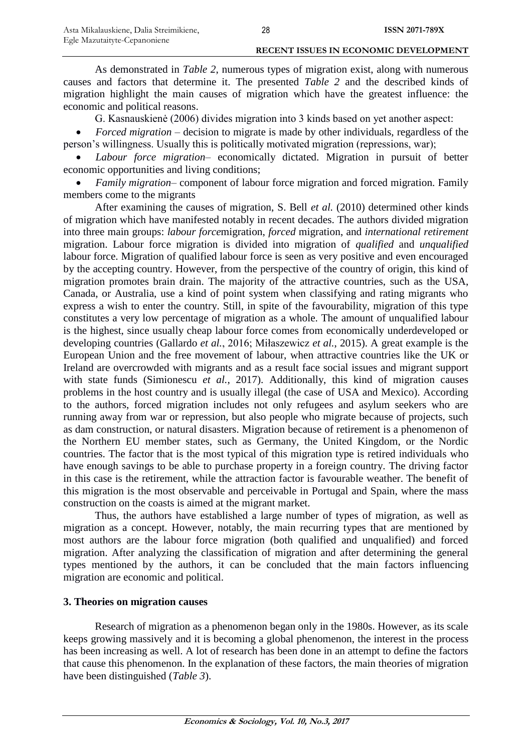As demonstrated in *Table 2*, numerous types of migration exist, along with numerous causes and factors that determine it. The presented *Table 2* and the described kinds of migration highlight the main causes of migration which have the greatest influence: the economic and political reasons.

G. Kasnauskienė (2006) divides migration into 3 kinds based on yet another aspect:

 *Forced migration* – decision to migrate is made by other individuals, regardless of the person"s willingness. Usually this is politically motivated migration (repressions, war);

 *Labour force migration*– economically dictated. Migration in pursuit of better economic opportunities and living conditions;

 *Family migration*– component of labour force migration and forced migration. Family members come to the migrants

After examining the causes of migration, S. Bell *et al.* (2010) determined other kinds of migration which have manifested notably in recent decades. The authors divided migration into three main groups: *labour force*migration, *forced* migration, and *international retirement*  migration. Labour force migration is divided into migration of *qualified* and *unqualified*  labour force. Migration of qualified labour force is seen as very positive and even encouraged by the accepting country. However, from the perspective of the country of origin, this kind of migration promotes brain drain. The majority of the attractive countries, such as the USA, Canada, or Australia, use a kind of point system when classifying and rating migrants who express a wish to enter the country. Still, in spite of the favourability, migration of this type constitutes a very low percentage of migration as a whole. The amount of unqualified labour is the highest, since usually cheap labour force comes from economically underdeveloped or developing countries (Gallardo *et al.*, 2016; Miłaszewicz *et al.*, 2015). A great example is the European Union and the free movement of labour, when attractive countries like the UK or Ireland are overcrowded with migrants and as a result face social issues and migrant support with state funds (Simionescu *et al.*, 2017). Additionally, this kind of migration causes problems in the host country and is usually illegal (the case of USA and Mexico). According to the authors, forced migration includes not only refugees and asylum seekers who are running away from war or repression, but also people who migrate because of projects, such as dam construction, or natural disasters. Migration because of retirement is a phenomenon of the Northern EU member states, such as Germany, the United Kingdom, or the Nordic countries. The factor that is the most typical of this migration type is retired individuals who have enough savings to be able to purchase property in a foreign country. The driving factor in this case is the retirement, while the attraction factor is favourable weather. The benefit of this migration is the most observable and perceivable in Portugal and Spain, where the mass construction on the coasts is aimed at the migrant market.

Thus, the authors have established a large number of types of migration, as well as migration as a concept. However, notably, the main recurring types that are mentioned by most authors are the labour force migration (both qualified and unqualified) and forced migration. After analyzing the classification of migration and after determining the general types mentioned by the authors, it can be concluded that the main factors influencing migration are economic and political.

# **3. Theories on migration causes**

Research of migration as a phenomenon began only in the 1980s. However, as its scale keeps growing massively and it is becoming a global phenomenon, the interest in the process has been increasing as well. A lot of research has been done in an attempt to define the factors that cause this phenomenon. In the explanation of these factors, the main theories of migration have been distinguished (*Table 3*).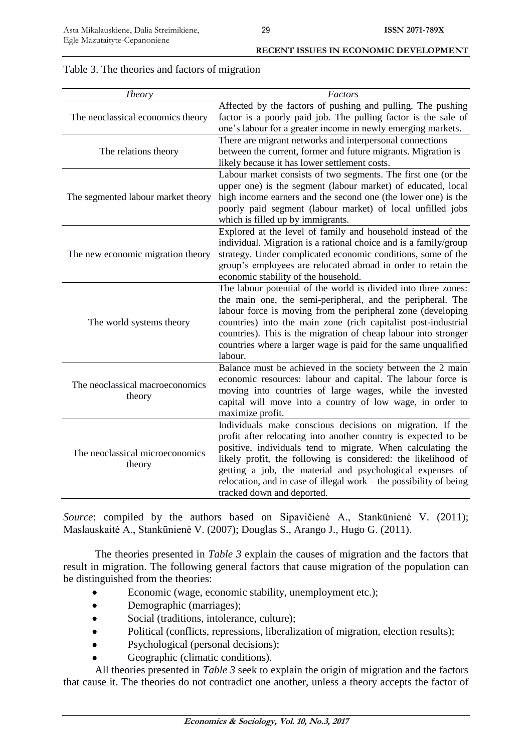|                                                | <b>RECENT ISSUES IN ECONOMIC DEVELOPMENT</b> |
|------------------------------------------------|----------------------------------------------|
| Table 3. The theories and factors of migration |                                              |

| Theory                                    | Factors                                                            |
|-------------------------------------------|--------------------------------------------------------------------|
|                                           | Affected by the factors of pushing and pulling. The pushing        |
| The neoclassical economics theory         | factor is a poorly paid job. The pulling factor is the sale of     |
|                                           | one's labour for a greater income in newly emerging markets.       |
|                                           | There are migrant networks and interpersonal connections           |
| The relations theory                      | between the current, former and future migrants. Migration is      |
|                                           | likely because it has lower settlement costs.                      |
|                                           | Labour market consists of two segments. The first one (or the      |
|                                           | upper one) is the segment (labour market) of educated, local       |
| The segmented labour market theory        | high income earners and the second one (the lower one) is the      |
|                                           | poorly paid segment (labour market) of local unfilled jobs         |
|                                           | which is filled up by immigrants.                                  |
|                                           | Explored at the level of family and household instead of the       |
|                                           | individual. Migration is a rational choice and is a family/group   |
| The new economic migration theory         | strategy. Under complicated economic conditions, some of the       |
|                                           | group's employees are relocated abroad in order to retain the      |
|                                           | economic stability of the household.                               |
|                                           | The labour potential of the world is divided into three zones:     |
|                                           | the main one, the semi-peripheral, and the peripheral. The         |
|                                           | labour force is moving from the peripheral zone (developing        |
| The world systems theory                  | countries) into the main zone (rich capitalist post-industrial     |
|                                           | countries). This is the migration of cheap labour into stronger    |
|                                           |                                                                    |
|                                           | countries where a larger wage is paid for the same unqualified     |
|                                           | labour.                                                            |
|                                           | Balance must be achieved in the society between the 2 main         |
| The neoclassical macroeconomics           | economic resources: labour and capital. The labour force is        |
| theory                                    | moving into countries of large wages, while the invested           |
|                                           | capital will move into a country of low wage, in order to          |
|                                           | maximize profit.                                                   |
|                                           | Individuals make conscious decisions on migration. If the          |
| The neoclassical microeconomics<br>theory | profit after relocating into another country is expected to be     |
|                                           | positive, individuals tend to migrate. When calculating the        |
|                                           | likely profit, the following is considered: the likelihood of      |
|                                           | getting a job, the material and psychological expenses of          |
|                                           | relocation, and in case of illegal work – the possibility of being |
|                                           | tracked down and deported.                                         |

*Source*: compiled by the authors based on Sipavičienė A., Stankūnienė V. (2011); Maslauskaitė A., Stankūnienė V. (2007); Douglas S., Arango J., Hugo G. (2011).

The theories presented in *Table 3* explain the causes of migration and the factors that result in migration. The following general factors that cause migration of the population can be distinguished from the theories:

- Economic (wage, economic stability, unemployment etc.);
- Demographic (marriages);
- Social (traditions, intolerance, culture);
- Political (conflicts, repressions, liberalization of migration, election results);
- Psychological (personal decisions);
- Geographic (climatic conditions).

All theories presented in *Table 3* seek to explain the origin of migration and the factors that cause it. The theories do not contradict one another, unless a theory accepts the factor of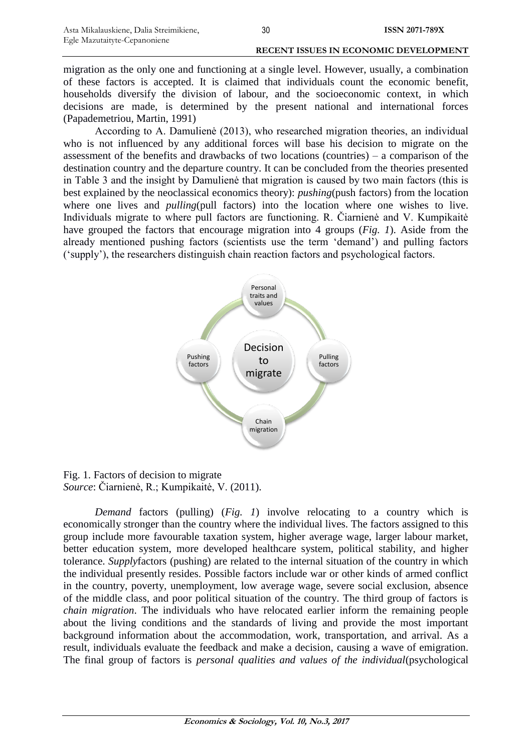migration as the only one and functioning at a single level. However, usually, a combination of these factors is accepted. It is claimed that individuals count the economic benefit, households diversify the division of labour, and the socioeconomic context, in which decisions are made, is determined by the present national and international forces (Papademetriou, Martin, 1991)

According to A. Damulienė (2013), who researched migration theories, an individual who is not influenced by any additional forces will base his decision to migrate on the assessment of the benefits and drawbacks of two locations (countries) – a comparison of the destination country and the departure country. It can be concluded from the theories presented in Table 3 and the insight by Damulienė that migration is caused by two main factors (this is best explained by the neoclassical economics theory): *pushing*(push factors) from the location where one lives and *pulling*(pull factors) into the location where one wishes to live. Individuals migrate to where pull factors are functioning. R. Čiarnienė and V. Kumpikaitė have grouped the factors that encourage migration into 4 groups (*Fig. 1*). Aside from the already mentioned pushing factors (scientists use the term "demand") and pulling factors ("supply"), the researchers distinguish chain reaction factors and psychological factors.



Fig. 1. Factors of decision to migrate *Source*: Čiarnienė, R.; Kumpikaitė, V. (2011).

*Demand* factors (pulling) (*Fig. 1*) involve relocating to a country which is economically stronger than the country where the individual lives. The factors assigned to this group include more favourable taxation system, higher average wage, larger labour market, better education system, more developed healthcare system, political stability, and higher tolerance. *Supply*factors (pushing) are related to the internal situation of the country in which the individual presently resides. Possible factors include war or other kinds of armed conflict in the country, poverty, unemployment, low average wage, severe social exclusion, absence of the middle class, and poor political situation of the country. The third group of factors is *chain migration*. The individuals who have relocated earlier inform the remaining people about the living conditions and the standards of living and provide the most important background information about the accommodation, work, transportation, and arrival. As a result, individuals evaluate the feedback and make a decision, causing a wave of emigration. The final group of factors is *personal qualities and values of the individual*(psychological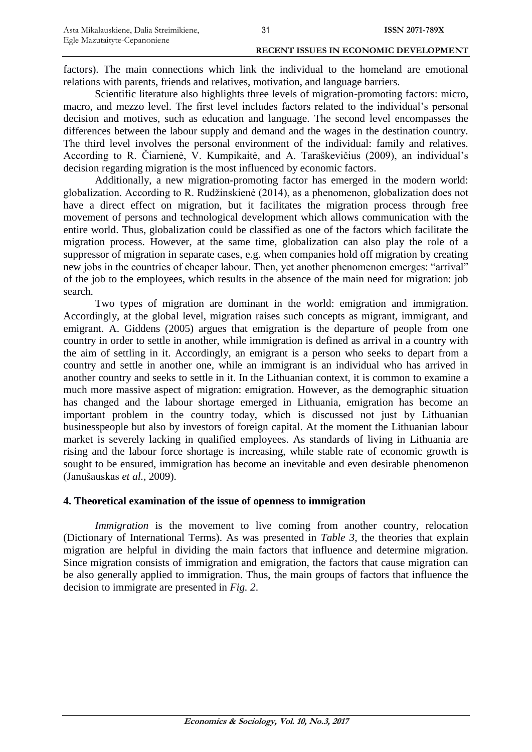factors). The main connections which link the individual to the homeland are emotional relations with parents, friends and relatives, motivation, and language barriers.

Scientific literature also highlights three levels of migration-promoting factors: micro, macro, and mezzo level. The first level includes factors related to the individual"s personal decision and motives, such as education and language. The second level encompasses the differences between the labour supply and demand and the wages in the destination country. The third level involves the personal environment of the individual: family and relatives. According to R. Čiarnienė, V. Kumpikaitė, and A. Taraškevičius (2009), an individual"s decision regarding migration is the most influenced by economic factors.

Additionally, a new migration-promoting factor has emerged in the modern world: globalization. According to R. Rudžinskienė (2014), as a phenomenon, globalization does not have a direct effect on migration, but it facilitates the migration process through free movement of persons and technological development which allows communication with the entire world. Thus, globalization could be classified as one of the factors which facilitate the migration process. However, at the same time, globalization can also play the role of a suppressor of migration in separate cases, e.g. when companies hold off migration by creating new jobs in the countries of cheaper labour. Then, yet another phenomenon emerges: "arrival" of the job to the employees, which results in the absence of the main need for migration: job search.

Two types of migration are dominant in the world: emigration and immigration. Accordingly, at the global level, migration raises such concepts as migrant, immigrant, and emigrant. A. Giddens (2005) argues that emigration is the departure of people from one country in order to settle in another, while immigration is defined as arrival in a country with the aim of settling in it. Accordingly, an emigrant is a person who seeks to depart from a country and settle in another one, while an immigrant is an individual who has arrived in another country and seeks to settle in it. In the Lithuanian context, it is common to examine a much more massive aspect of migration: emigration. However, as the demographic situation has changed and the labour shortage emerged in Lithuania, emigration has become an important problem in the country today, which is discussed not just by Lithuanian businesspeople but also by investors of foreign capital. At the moment the Lithuanian labour market is severely lacking in qualified employees. As standards of living in Lithuania are rising and the labour force shortage is increasing, while stable rate of economic growth is sought to be ensured, immigration has become an inevitable and even desirable phenomenon (Janušauskas *et al.*, 2009).

# **4. Theoretical examination of the issue of openness to immigration**

*Immigration* is the movement to live coming from another country, relocation (Dictionary of International Terms). As was presented in *Table 3*, the theories that explain migration are helpful in dividing the main factors that influence and determine migration. Since migration consists of immigration and emigration, the factors that cause migration can be also generally applied to immigration. Thus, the main groups of factors that influence the decision to immigrate are presented in *Fig. 2*.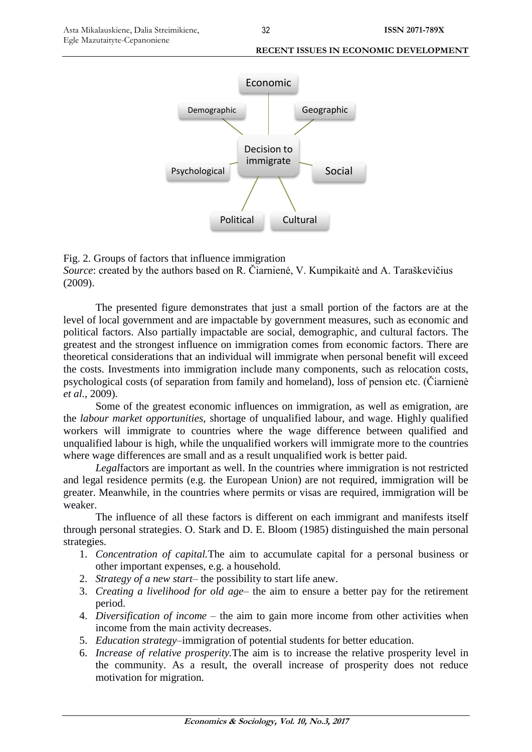



The presented figure demonstrates that just a small portion of the factors are at the level of local government and are impactable by government measures, such as economic and political factors. Also partially impactable are social, demographic, and cultural factors. The greatest and the strongest influence on immigration comes from economic factors. There are theoretical considerations that an individual will immigrate when personal benefit will exceed the costs. Investments into immigration include many components, such as relocation costs, psychological costs (of separation from family and homeland), loss of pension etc. (Čiarnienė *et al.*, 2009).

Some of the greatest economic influences on immigration, as well as emigration, are the *labour market opportunities*, shortage of unqualified labour, and wage. Highly qualified workers will immigrate to countries where the wage difference between qualified and unqualified labour is high, while the unqualified workers will immigrate more to the countries where wage differences are small and as a result unqualified work is better paid.

*Legal*factors are important as well. In the countries where immigration is not restricted and legal residence permits (e.g. the European Union) are not required, immigration will be greater. Meanwhile, in the countries where permits or visas are required, immigration will be weaker.

The influence of all these factors is different on each immigrant and manifests itself through personal strategies. O. Stark and D. E. Bloom (1985) distinguished the main personal strategies.

- 1. *Concentration of capital.*The aim to accumulate capital for a personal business or other important expenses, e.g. a household.
- 2. *Strategy of a new start* the possibility to start life anew.
- 3. *Creating a livelihood for old age* the aim to ensure a better pay for the retirement period.
- 4. *Diversification of income* the aim to gain more income from other activities when income from the main activity decreases.
- 5. *Education strategy*–immigration of potential students for better education.
- 6. *Increase of relative prosperity.*The aim is to increase the relative prosperity level in the community. As a result, the overall increase of prosperity does not reduce motivation for migration.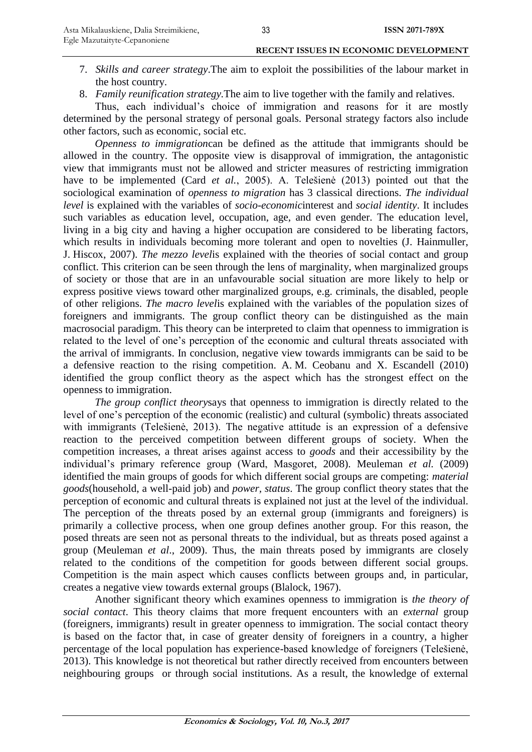- 7. *Skills and career strategy*.The aim to exploit the possibilities of the labour market in the host country.
- 8. *Family reunification strategy.*The aim to live together with the family and relatives.

Thus, each individual's choice of immigration and reasons for it are mostly determined by the personal strategy of personal goals. Personal strategy factors also include other factors, such as economic, social etc.

*Openness to immigration*can be defined as the attitude that immigrants should be allowed in the country. The opposite view is disapproval of immigration, the antagonistic view that immigrants must not be allowed and stricter measures of restricting immigration have to be implemented (Card *et al.*, 2005). A. Telešienė (2013) pointed out that the sociological examination of *openness to migration* has 3 classical directions. *The individual level* is explained with the variables of *socio-economic*interest and *social identity*. It includes such variables as education level, occupation, age, and even gender. The education level, living in a big city and having a higher occupation are considered to be liberating factors, which results in individuals becoming more tolerant and open to novelties (J. Hainmuller, J. Hiscox, 2007). *The mezzo level*is explained with the theories of social contact and group conflict. This criterion can be seen through the lens of marginality, when marginalized groups of society or those that are in an unfavourable social situation are more likely to help or express positive views toward other marginalized groups, e.g. criminals, the disabled, people of other religions. *The macro level*is explained with the variables of the population sizes of foreigners and immigrants. The group conflict theory can be distinguished as the main macrosocial paradigm. This theory can be interpreted to claim that openness to immigration is related to the level of one"s perception of the economic and cultural threats associated with the arrival of immigrants. In conclusion, negative view towards immigrants can be said to be a defensive reaction to the rising competition. A. M. Ceobanu and X. Escandell (2010) identified the group conflict theory as the aspect which has the strongest effect on the openness to immigration.

*The group conflict theory*says that openness to immigration is directly related to the level of one"s perception of the economic (realistic) and cultural (symbolic) threats associated with immigrants (Telešienė, 2013). The negative attitude is an expression of a defensive reaction to the perceived competition between different groups of society. When the competition increases, a threat arises against access to *goods* and their accessibility by the individual"s primary reference group (Ward, Masgoret, 2008). Meuleman *et al.* (2009) identified the main groups of goods for which different social groups are competing: *material goods*(household, a well-paid job) and *power, status*. The group conflict theory states that the perception of economic and cultural threats is explained not just at the level of the individual. The perception of the threats posed by an external group (immigrants and foreigners) is primarily a collective process, when one group defines another group. For this reason, the posed threats are seen not as personal threats to the individual, but as threats posed against a group (Meuleman *et al*., 2009). Thus, the main threats posed by immigrants are closely related to the conditions of the competition for goods between different social groups. Competition is the main aspect which causes conflicts between groups and, in particular, creates a negative view towards external groups (Blalock, 1967).

Another significant theory which examines openness to immigration is *the theory of social contact*. This theory claims that more frequent encounters with an *external* group (foreigners, immigrants) result in greater openness to immigration. The social contact theory is based on the factor that, in case of greater density of foreigners in a country, a higher percentage of the local population has experience-based knowledge of foreigners (Telešienė, 2013). This knowledge is not theoretical but rather directly received from encounters between neighbouring groups or through social institutions. As a result, the knowledge of external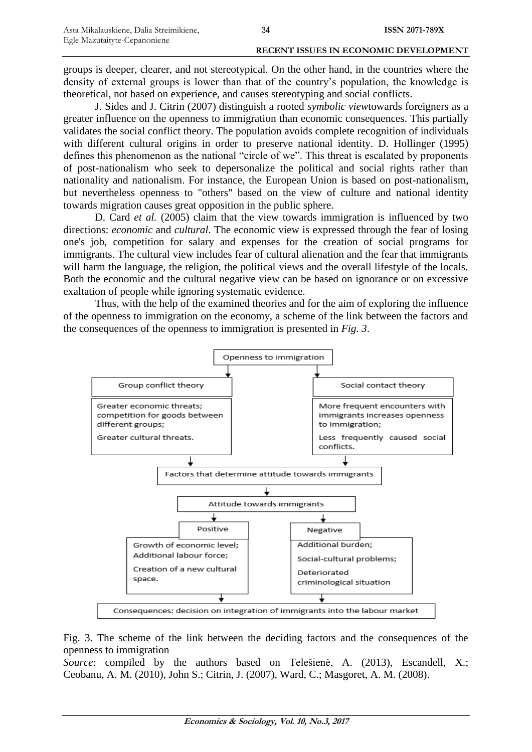groups is deeper, clearer, and not stereotypical. On the other hand, in the countries where the density of external groups is lower than that of the country"s population, the knowledge is theoretical, not based on experience, and causes stereotyping and social conflicts.

J. Sides and J. Citrin (2007) distinguish a rooted *symbolic view*towards foreigners as a greater influence on the openness to immigration than economic consequences. This partially validates the social conflict theory. The population avoids complete recognition of individuals with different cultural origins in order to preserve national identity. D. Hollinger (1995) defines this phenomenon as the national "circle of we". This threat is escalated by proponents of post-nationalism who seek to depersonalize the political and social rights rather than nationality and nationalism. For instance, the European Union is based on post-nationalism, but nevertheless openness to "others" based on the view of culture and national identity towards migration causes great opposition in the public sphere.

D. Card *et al.* (2005) claim that the view towards immigration is influenced by two directions: *economic* and *cultural*. The economic view is expressed through the fear of losing one's job, competition for salary and expenses for the creation of social programs for immigrants. The cultural view includes fear of cultural alienation and the fear that immigrants will harm the language, the religion, the political views and the overall lifestyle of the locals. Both the economic and the cultural negative view can be based on ignorance or on excessive exaltation of people while ignoring systematic evidence.

Thus, with the help of the examined theories and for the aim of exploring the influence of the openness to immigration on the economy, a scheme of the link between the factors and the consequences of the openness to immigration is presented in *Fig. 3*.



Fig. 3. The scheme of the link between the deciding factors and the consequences of the openness to immigration

*Source*: compiled by the authors based on Telešienė, A. (2013), [Escandell,](http://www.tandfonline.com/action/doSearch?Contrib=Escandell%2C+X) X.; [Ceobanu,](http://www.tandfonline.com/action/doSearch?Contrib=Ceobanu%2C+A+M) A. M. (2010), John S.; Citrin, J. (2007), Ward, C.; Masgoret, A. M. (2008).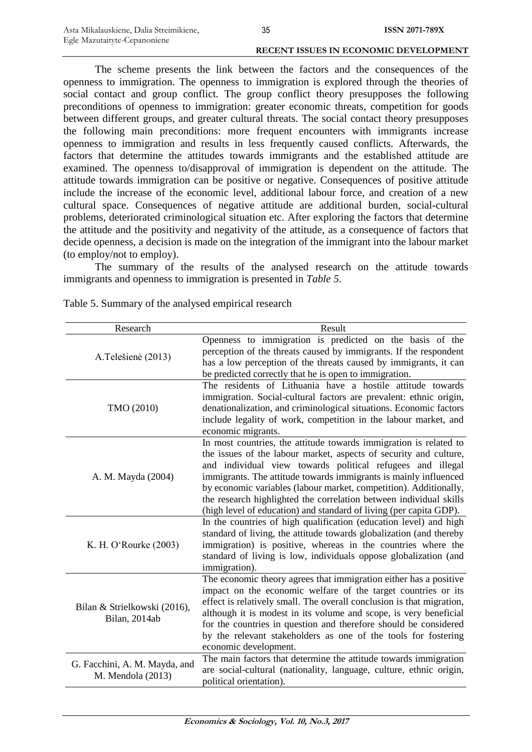The scheme presents the link between the factors and the consequences of the openness to immigration. The openness to immigration is explored through the theories of social contact and group conflict. The group conflict theory presupposes the following preconditions of openness to immigration: greater economic threats, competition for goods between different groups, and greater cultural threats. The social contact theory presupposes the following main preconditions: more frequent encounters with immigrants increase openness to immigration and results in less frequently caused conflicts. Afterwards, the factors that determine the attitudes towards immigrants and the established attitude are examined. The openness to/disapproval of immigration is dependent on the attitude. The attitude towards immigration can be positive or negative. Consequences of positive attitude include the increase of the economic level, additional labour force, and creation of a new cultural space. Consequences of negative attitude are additional burden, social-cultural problems, deteriorated criminological situation etc. After exploring the factors that determine the attitude and the positivity and negativity of the attitude, as a consequence of factors that decide openness, a decision is made on the integration of the immigrant into the labour market (to employ/not to employ).

The summary of the results of the analysed research on the attitude towards immigrants and openness to immigration is presented in *Table 5*.

| Research                                           | Result                                                                                                                                                                                                                                                                                                                                                                                                                                                                                    |
|----------------------------------------------------|-------------------------------------------------------------------------------------------------------------------------------------------------------------------------------------------------------------------------------------------------------------------------------------------------------------------------------------------------------------------------------------------------------------------------------------------------------------------------------------------|
| A.Telešienė (2013)                                 | Openness to immigration is predicted on the basis of the<br>perception of the threats caused by immigrants. If the respondent<br>has a low perception of the threats caused by immigrants, it can<br>be predicted correctly that he is open to immigration.                                                                                                                                                                                                                               |
| TMO (2010)                                         | The residents of Lithuania have a hostile attitude towards<br>immigration. Social-cultural factors are prevalent: ethnic origin,<br>denationalization, and criminological situations. Economic factors<br>include legality of work, competition in the labour market, and<br>economic migrants.                                                                                                                                                                                           |
| A. M. Mayda (2004)                                 | In most countries, the attitude towards immigration is related to<br>the issues of the labour market, aspects of security and culture,<br>and individual view towards political refugees and illegal<br>immigrants. The attitude towards immigrants is mainly influenced<br>by economic variables (labour market, competition). Additionally,<br>the research highlighted the correlation between individual skills<br>(high level of education) and standard of living (per capita GDP). |
| K. H. O'Rourke (2003)                              | In the countries of high qualification (education level) and high<br>standard of living, the attitude towards globalization (and thereby<br>immigration) is positive, whereas in the countries where the<br>standard of living is low, individuals oppose globalization (and<br>immigration).                                                                                                                                                                                             |
| Bilan & Strielkowski (2016),<br>Bilan, 2014ab      | The economic theory agrees that immigration either has a positive<br>impact on the economic welfare of the target countries or its<br>effect is relatively small. The overall conclusion is that migration,<br>although it is modest in its volume and scope, is very beneficial<br>for the countries in question and therefore should be considered<br>by the relevant stakeholders as one of the tools for fostering<br>economic development.                                           |
| G. Facchini, A. M. Mayda, and<br>M. Mendola (2013) | The main factors that determine the attitude towards immigration<br>are social-cultural (nationality, language, culture, ethnic origin,<br>political orientation).                                                                                                                                                                                                                                                                                                                        |

Table 5. Summary of the analysed empirical research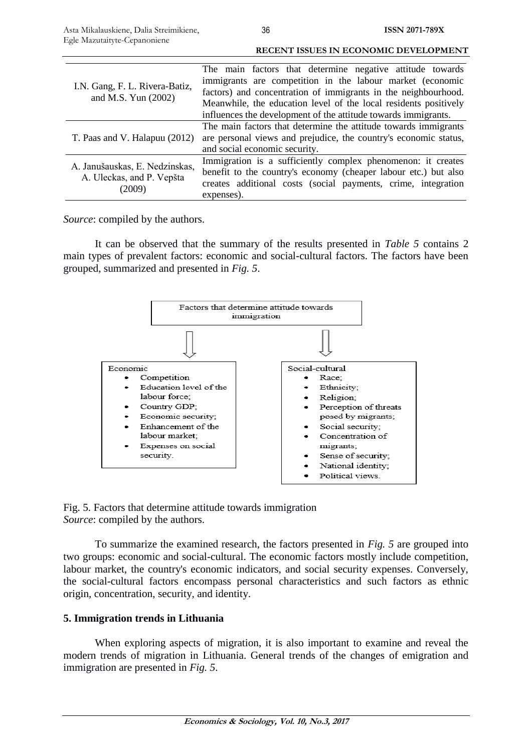| I.N. Gang, F. L. Rivera-Batiz,<br>and M.S. Yun $(2002)$               | The main factors that determine negative attitude towards        |
|-----------------------------------------------------------------------|------------------------------------------------------------------|
|                                                                       | immigrants are competition in the labour market (economic        |
|                                                                       | factors) and concentration of immigrants in the neighbourhood.   |
|                                                                       | Meanwhile, the education level of the local residents positively |
|                                                                       | influences the development of the attitude towards immigrants.   |
| T. Paas and V. Halapuu (2012)                                         | The main factors that determine the attitude towards immigrants  |
|                                                                       | are personal views and prejudice, the country's economic status, |
|                                                                       | and social economic security.                                    |
| A. Janušauskas, E. Nedzinskas,<br>A. Uleckas, and P. Vepšta<br>(2009) | Immigration is a sufficiently complex phenomenon: it creates     |
|                                                                       | benefit to the country's economy (cheaper labour etc.) but also  |
|                                                                       | creates additional costs (social payments, crime, integration    |
|                                                                       | expenses).                                                       |

*Source*: compiled by the authors.

It can be observed that the summary of the results presented in *Table 5* contains 2 main types of prevalent factors: economic and social-cultural factors. The factors have been grouped, summarized and presented in *Fig. 5*.



Fig. 5. Factors that determine attitude towards immigration *Source*: compiled by the authors.

To summarize the examined research, the factors presented in *Fig. 5* are grouped into two groups: economic and social-cultural. The economic factors mostly include competition, labour market, the country's economic indicators, and social security expenses. Conversely, the social-cultural factors encompass personal characteristics and such factors as ethnic origin, concentration, security, and identity.

# **5. Immigration trends in Lithuania**

When exploring aspects of migration, it is also important to examine and reveal the modern trends of migration in Lithuania. General trends of the changes of emigration and immigration are presented in *Fig. 5*.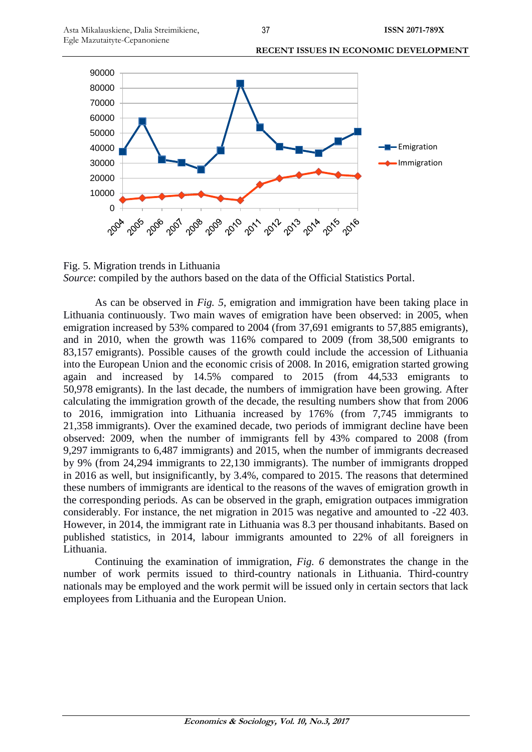

Fig. 5. Migration trends in Lithuania *Source*: compiled by the authors based on the data of the Official Statistics Portal.

As can be observed in *Fig. 5*, emigration and immigration have been taking place in Lithuania continuously. Two main waves of emigration have been observed: in 2005, when emigration increased by 53% compared to 2004 (from 37,691 emigrants to 57,885 emigrants), and in 2010, when the growth was 116% compared to 2009 (from 38,500 emigrants to 83,157 emigrants). Possible causes of the growth could include the accession of Lithuania into the European Union and the economic crisis of 2008. In 2016, emigration started growing again and increased by 14.5% compared to 2015 (from 44,533 emigrants to 50,978 emigrants). In the last decade, the numbers of immigration have been growing. After calculating the immigration growth of the decade, the resulting numbers show that from 2006 to 2016, immigration into Lithuania increased by 176% (from 7,745 immigrants to 21,358 immigrants). Over the examined decade, two periods of immigrant decline have been observed: 2009, when the number of immigrants fell by 43% compared to 2008 (from 9,297 immigrants to 6,487 immigrants) and 2015, when the number of immigrants decreased by 9% (from 24,294 immigrants to 22,130 immigrants). The number of immigrants dropped in 2016 as well, but insignificantly, by 3.4%, compared to 2015. The reasons that determined these numbers of immigrants are identical to the reasons of the waves of emigration growth in the corresponding periods. As can be observed in the graph, emigration outpaces immigration considerably. For instance, the net migration in 2015 was negative and amounted to -22 403. However, in 2014, the immigrant rate in Lithuania was 8.3 per thousand inhabitants. Based on published statistics, in 2014, labour immigrants amounted to 22% of all foreigners in Lithuania.

Continuing the examination of immigration, *Fig. 6* demonstrates the change in the number of work permits issued to third-country nationals in Lithuania. Third-country nationals may be employed and the work permit will be issued only in certain sectors that lack employees from Lithuania and the European Union.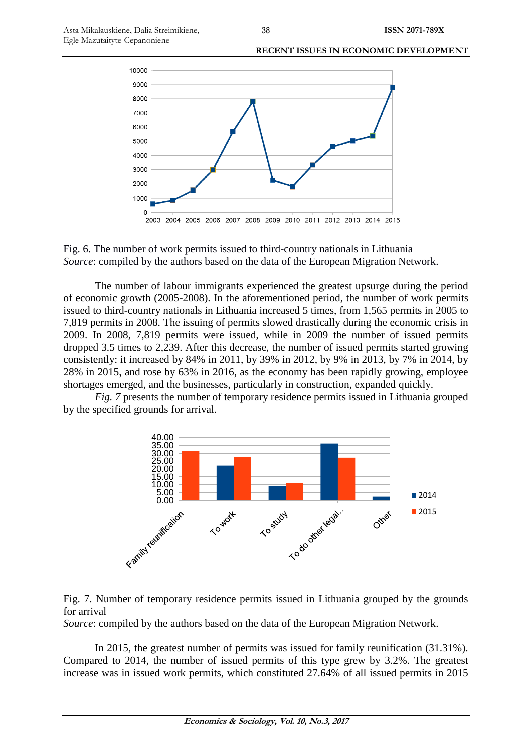



The number of labour immigrants experienced the greatest upsurge during the period of economic growth (2005-2008). In the aforementioned period, the number of work permits issued to third-country nationals in Lithuania increased 5 times, from 1,565 permits in 2005 to 7,819 permits in 2008. The issuing of permits slowed drastically during the economic crisis in 2009. In 2008, 7,819 permits were issued, while in 2009 the number of issued permits dropped 3.5 times to 2,239. After this decrease, the number of issued permits started growing consistently: it increased by 84% in 2011, by 39% in 2012, by 9% in 2013, by 7% in 2014, by 28% in 2015, and rose by 63% in 2016, as the economy has been rapidly growing, employee shortages emerged, and the businesses, particularly in construction, expanded quickly.

*Fig. 7* presents the number of temporary residence permits issued in Lithuania grouped by the specified grounds for arrival.



Fig. 7. Number of temporary residence permits issued in Lithuania grouped by the grounds for arrival

*Source*: compiled by the authors based on the data of the European Migration Network.

In 2015, the greatest number of permits was issued for family reunification (31.31%). Compared to 2014, the number of issued permits of this type grew by 3.2%. The greatest increase was in issued work permits, which constituted 27.64% of all issued permits in 2015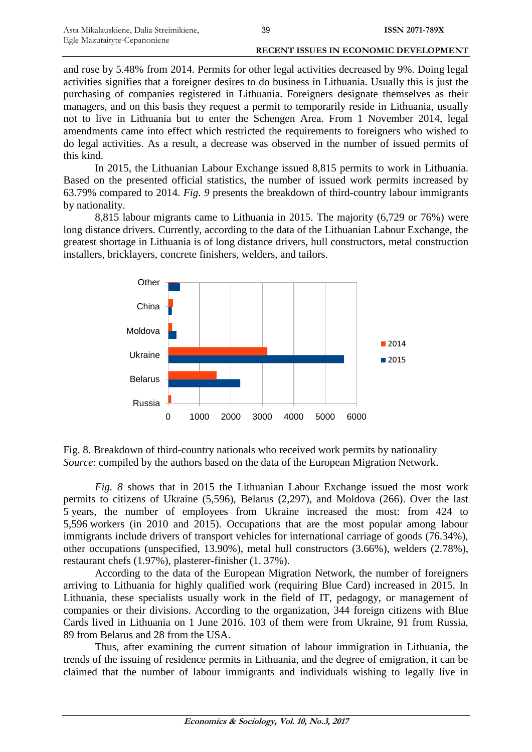and rose by 5.48% from 2014. Permits for other legal activities decreased by 9%. Doing legal activities signifies that a foreigner desires to do business in Lithuania. Usually this is just the purchasing of companies registered in Lithuania. Foreigners designate themselves as their managers, and on this basis they request a permit to temporarily reside in Lithuania, usually not to live in Lithuania but to enter the Schengen Area. From 1 November 2014, legal amendments came into effect which restricted the requirements to foreigners who wished to do legal activities. As a result, a decrease was observed in the number of issued permits of this kind.

In 2015, the Lithuanian Labour Exchange issued 8,815 permits to work in Lithuania. Based on the presented official statistics, the number of issued work permits increased by 63.79% compared to 2014. *Fig. 9* presents the breakdown of third-country labour immigrants by nationality.

8,815 labour migrants came to Lithuania in 2015. The majority (6,729 or 76%) were long distance drivers. Currently, according to the data of the Lithuanian Labour Exchange, the greatest shortage in Lithuania is of long distance drivers, hull constructors, metal construction installers, bricklayers, concrete finishers, welders, and tailors.



Fig. 8. Breakdown of third-country nationals who received work permits by nationality *Source*: compiled by the authors based on the data of the European Migration Network.

*Fig. 8* shows that in 2015 the Lithuanian Labour Exchange issued the most work permits to citizens of Ukraine (5,596), Belarus (2,297), and Moldova (266). Over the last 5 years, the number of employees from Ukraine increased the most: from 424 to 5,596 workers (in 2010 and 2015). Occupations that are the most popular among labour immigrants include drivers of transport vehicles for international carriage of goods (76.34%), other occupations (unspecified, 13.90%), metal hull constructors (3.66%), welders (2.78%), restaurant chefs (1.97%), plasterer-finisher (1. 37%).

According to the data of the European Migration Network, the number of foreigners arriving to Lithuania for highly qualified work (requiring Blue Card) increased in 2015. In Lithuania, these specialists usually work in the field of IT, pedagogy, or management of companies or their divisions. According to the organization, 344 foreign citizens with Blue Cards lived in Lithuania on 1 June 2016. 103 of them were from Ukraine, 91 from Russia, 89 from Belarus and 28 from the USA.

Thus, after examining the current situation of labour immigration in Lithuania, the trends of the issuing of residence permits in Lithuania, and the degree of emigration, it can be claimed that the number of labour immigrants and individuals wishing to legally live in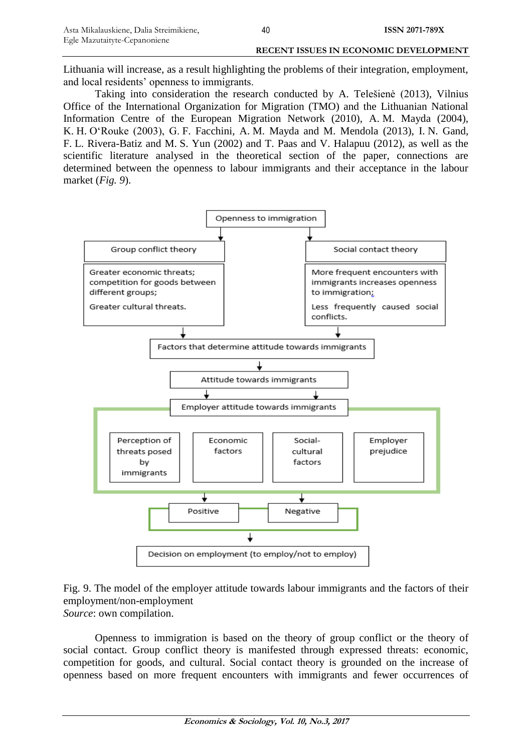Lithuania will increase, as a result highlighting the problems of their integration, employment, and local residents' openness to immigrants.

Taking into consideration the research conducted by A. Telešienė (2013), Vilnius Office of the International Organization for Migration (TMO) and the Lithuanian National Information Centre of the European Migration Network (2010), A. M. Mayda (2004), K. H. O"Rouke (2003), G. F. Facchini, A. M. Mayda and M. Mendola (2013), I. N. Gand, F. L. Rivera-Batiz and M. S. Yun (2002) and T. Paas and V. Halapuu (2012), as well as the scientific literature analysed in the theoretical section of the paper, connections are determined between the openness to labour immigrants and their acceptance in the labour market (*Fig. 9*).



# Fig. 9. The model of the employer attitude towards labour immigrants and the factors of their employment/non-employment *Source*: own compilation.

Openness to immigration is based on the theory of group conflict or the theory of social contact. Group conflict theory is manifested through expressed threats: economic, competition for goods, and cultural. Social contact theory is grounded on the increase of openness based on more frequent encounters with immigrants and fewer occurrences of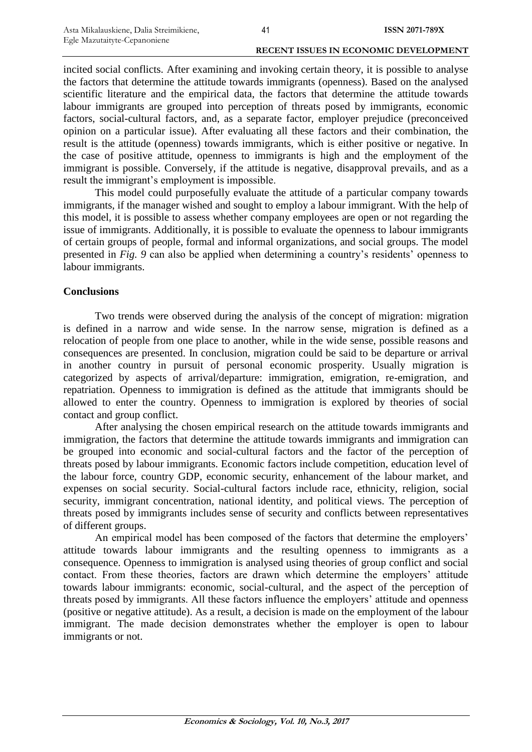incited social conflicts. After examining and invoking certain theory, it is possible to analyse the factors that determine the attitude towards immigrants (openness). Based on the analysed scientific literature and the empirical data, the factors that determine the attitude towards labour immigrants are grouped into perception of threats posed by immigrants, economic factors, social-cultural factors, and, as a separate factor, employer prejudice (preconceived opinion on a particular issue). After evaluating all these factors and their combination, the result is the attitude (openness) towards immigrants, which is either positive or negative. In the case of positive attitude, openness to immigrants is high and the employment of the immigrant is possible. Conversely, if the attitude is negative, disapproval prevails, and as a result the immigrant"s employment is impossible.

This model could purposefully evaluate the attitude of a particular company towards immigrants, if the manager wished and sought to employ a labour immigrant. With the help of this model, it is possible to assess whether company employees are open or not regarding the issue of immigrants. Additionally, it is possible to evaluate the openness to labour immigrants of certain groups of people, formal and informal organizations, and social groups. The model presented in *Fig.* 9 can also be applied when determining a country's residents' openness to labour immigrants.

# **Conclusions**

Two trends were observed during the analysis of the concept of migration: migration is defined in a narrow and wide sense. In the narrow sense, migration is defined as a relocation of people from one place to another, while in the wide sense, possible reasons and consequences are presented. In conclusion, migration could be said to be departure or arrival in another country in pursuit of personal economic prosperity. Usually migration is categorized by aspects of arrival/departure: immigration, emigration, re-emigration, and repatriation. Openness to immigration is defined as the attitude that immigrants should be allowed to enter the country. Openness to immigration is explored by theories of social contact and group conflict.

After analysing the chosen empirical research on the attitude towards immigrants and immigration, the factors that determine the attitude towards immigrants and immigration can be grouped into economic and social-cultural factors and the factor of the perception of threats posed by labour immigrants. Economic factors include competition, education level of the labour force, country GDP, economic security, enhancement of the labour market, and expenses on social security. Social-cultural factors include race, ethnicity, religion, social security, immigrant concentration, national identity, and political views. The perception of threats posed by immigrants includes sense of security and conflicts between representatives of different groups.

An empirical model has been composed of the factors that determine the employers' attitude towards labour immigrants and the resulting openness to immigrants as a consequence. Openness to immigration is analysed using theories of group conflict and social contact. From these theories, factors are drawn which determine the employers' attitude towards labour immigrants: economic, social-cultural, and the aspect of the perception of threats posed by immigrants. All these factors influence the employers' attitude and openness (positive or negative attitude). As a result, a decision is made on the employment of the labour immigrant. The made decision demonstrates whether the employer is open to labour immigrants or not.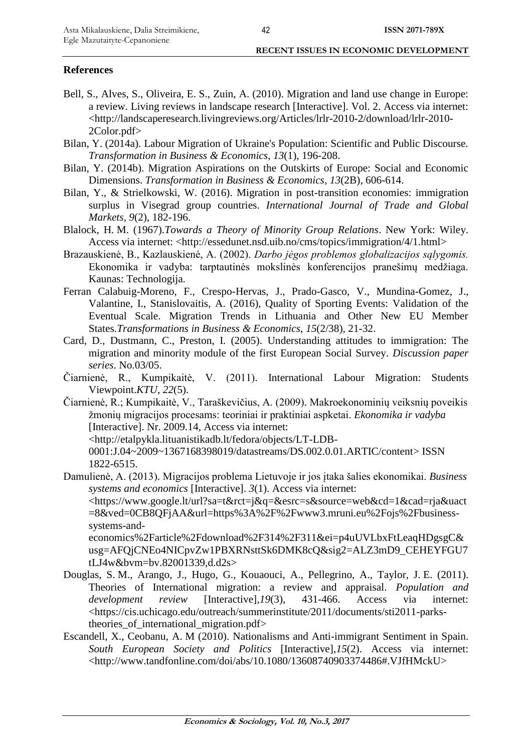# **References**

- Bell, S., Alves, S., Oliveira, E. S., Zuin, A. (2010). Migration and land use change in Europe: a review. Living reviews in landscape research [Interactive]. Vol. 2. Access via internet: [<http://landscaperesearch.livingreviews.org/Articles/lrlr-2010-2/download/lrlr-2010-](http://landscaperesearch.livingreviews.org/Articles/lrlr-2010-2/download/lrlr-2010-2Color.pdf) [2Color.pdf>](http://landscaperesearch.livingreviews.org/Articles/lrlr-2010-2/download/lrlr-2010-2Color.pdf)
- Bilan, Y. (2014a). Labour Migration of Ukraine's Population: Scientific and Public Discourse. *Transformation in Business & Economics*, *13*(1), 196-208.
- Bilan, Y. (2014b). Migration Aspirations on the Outskirts of Europe: Social and Economic Dimensions. *Transformation in Business & Economics*, *13*(2B), 606-614.
- Bilan, Y., & Strielkowski, W. (2016). Migration in post-transition economies: immigration surplus in Visegrad group countries. *International Journal of Trade and Global Markets*, *9*(2), 182-196.
- Blalock, H. M. (1967).*Towards a Theory of Minority Group Relations*. New York: Wiley. Access via internet: [<http://essedunet.nsd.uib.no/cms/topics/immigration/4/1.html>](http://essedunet.nsd.uib.no/cms/topics/immigration/4/1.html)
- Brazauskienė, B., Kazlauskienė, A. (2002). *Darbo jėgos problemos globalizacijos sąlygomis.* Ekonomika ir vadyba: tarptautinės mokslinės konferencijos pranešimų medžiaga. Kaunas: Technologija.
- Ferran Calabuig-Moreno, F., Crespo-Hervas, J., Prado-Gasco, V., Mundina-Gomez, J., Valantine, I., Stanislovaitis, A. (2016), Quality of Sporting Events: Validation of the Eventual Scale. Migration Trends in Lithuania and Other New EU Member States.*Transformations in Business & Economics*, *15*(2/38), 21-32.
- Card, D., Dustmann, C., Preston, I. (2005). Understanding attitudes to immigration: The migration and minority module of the first European Social Survey. *Discussion paper series*. No.03/05.
- Čiarnienė, R., Kumpikaitė, V. (2011). International Labour Migration: Students Viewpoint.*KTU*, *22*(5).
- Čiarnienė, R.; Kumpikaitė, V., Taraškevičius, A. (2009). Makroekonominių veiksnių poveikis žmonių migracijos procesams: teoriniai ir praktiniai aspketai. *Ekonomika ir vadyba* [Interactive]. Nr. 2009.14, Access via internet: [<http://etalpykla.lituanistikadb.lt/fedora/objects/LT-LDB-](http://etalpykla.lituanistikadb.lt/fedora/objects/LT-LDB-0001:J.04~2009~1367168398019/datastreams/DS.002.0.01.ARTIC/content)[0001:J.04~2009~1367168398019/datastreams/DS.002.0.01.ARTIC/content>](http://etalpykla.lituanistikadb.lt/fedora/objects/LT-LDB-0001:J.04~2009~1367168398019/datastreams/DS.002.0.01.ARTIC/content) ISSN 1822-6515.
- Damulienė, A. (2013). Migracijos problema Lietuvoje ir jos įtaka šalies ekonomikai. *Business systems and economics* [Interactive]. *3*(1). Access via internet: [<https://www.google.lt/url?sa=t&rct=j&q=&esrc=s&source=web&cd=1&cad=rja&uact](https://www.google.lt/url?sa=t&rct=j&q=&esrc=s&source=web&cd=1&cad=rja&uact=8&ved=0CB8QFjAA&url=https%3A%2F%2Fwww3.mruni.eu%2Fojs%2Fbusiness-systems-and-economics%2Farticle%2Fdownload%2F314%2F311&ei=p4uUVLbxFtLeaqHDgsgC&usg=AFQjCNEo4NICpvZw1PBXRNsttSk6DMK8cQ&sig2=ALZ3mD9_CEHEYFGU7tLJ4w&bvm=bv.82001339,d.d2s) [=8&ved=0CB8QFjAA&url=https%3A%2F%2Fwww3.mruni.eu%2Fojs%2Fbusiness](https://www.google.lt/url?sa=t&rct=j&q=&esrc=s&source=web&cd=1&cad=rja&uact=8&ved=0CB8QFjAA&url=https%3A%2F%2Fwww3.mruni.eu%2Fojs%2Fbusiness-systems-and-economics%2Farticle%2Fdownload%2F314%2F311&ei=p4uUVLbxFtLeaqHDgsgC&usg=AFQjCNEo4NICpvZw1PBXRNsttSk6DMK8cQ&sig2=ALZ3mD9_CEHEYFGU7tLJ4w&bvm=bv.82001339,d.d2s)[systems-and-](https://www.google.lt/url?sa=t&rct=j&q=&esrc=s&source=web&cd=1&cad=rja&uact=8&ved=0CB8QFjAA&url=https%3A%2F%2Fwww3.mruni.eu%2Fojs%2Fbusiness-systems-and-economics%2Farticle%2Fdownload%2F314%2F311&ei=p4uUVLbxFtLeaqHDgsgC&usg=AFQjCNEo4NICpvZw1PBXRNsttSk6DMK8cQ&sig2=ALZ3mD9_CEHEYFGU7tLJ4w&bvm=bv.82001339,d.d2s)

[economics%2Farticle%2Fdownload%2F314%2F311&ei=p4uUVLbxFtLeaqHDgsgC&](https://www.google.lt/url?sa=t&rct=j&q=&esrc=s&source=web&cd=1&cad=rja&uact=8&ved=0CB8QFjAA&url=https%3A%2F%2Fwww3.mruni.eu%2Fojs%2Fbusiness-systems-and-economics%2Farticle%2Fdownload%2F314%2F311&ei=p4uUVLbxFtLeaqHDgsgC&usg=AFQjCNEo4NICpvZw1PBXRNsttSk6DMK8cQ&sig2=ALZ3mD9_CEHEYFGU7tLJ4w&bvm=bv.82001339,d.d2s) [usg=AFQjCNEo4NICpvZw1PBXRNsttSk6DMK8cQ&sig2=ALZ3mD9\\_CEHEYFGU7](https://www.google.lt/url?sa=t&rct=j&q=&esrc=s&source=web&cd=1&cad=rja&uact=8&ved=0CB8QFjAA&url=https%3A%2F%2Fwww3.mruni.eu%2Fojs%2Fbusiness-systems-and-economics%2Farticle%2Fdownload%2F314%2F311&ei=p4uUVLbxFtLeaqHDgsgC&usg=AFQjCNEo4NICpvZw1PBXRNsttSk6DMK8cQ&sig2=ALZ3mD9_CEHEYFGU7tLJ4w&bvm=bv.82001339,d.d2s) [tLJ4w&bvm=bv.82001339,d.d2s>](https://www.google.lt/url?sa=t&rct=j&q=&esrc=s&source=web&cd=1&cad=rja&uact=8&ved=0CB8QFjAA&url=https%3A%2F%2Fwww3.mruni.eu%2Fojs%2Fbusiness-systems-and-economics%2Farticle%2Fdownload%2F314%2F311&ei=p4uUVLbxFtLeaqHDgsgC&usg=AFQjCNEo4NICpvZw1PBXRNsttSk6DMK8cQ&sig2=ALZ3mD9_CEHEYFGU7tLJ4w&bvm=bv.82001339,d.d2s)

- Douglas, S. M., Arango, J., Hugo, G., Kouaouci, A., Pellegrino, A., Taylor, J. E. (2011). Theories of International migration: a review and appraisal. *Population and development review* [Interactive],*19*(3), 431-466. Access via internet: [<https://cis.uchicago.edu/outreach/summerinstitute/2011/documents/sti2011-parks](https://cis.uchicago.edu/outreach/summerinstitute/2011/documents/sti2011-parks-theories_of_international_migration.pdf)theories of international migration.pdf>
- [Escandell,](http://www.tandfonline.com/action/doSearch?Contrib=Escandell%2C+X) X., [Ceobanu,](http://www.tandfonline.com/action/doSearch?Contrib=Ceobanu%2C+A+M) A. M (2010). Nationalisms and Anti-immigrant Sentiment in Spain. *South European Society and Politics* [Interactive],*15*(2). Access via internet: [<http://www.tandfonline.com/doi/abs/10.1080/13608740903374486#.VJfHMckU>](http://www.tandfonline.com/doi/abs/10.1080/13608740903374486#.VJfHMckU)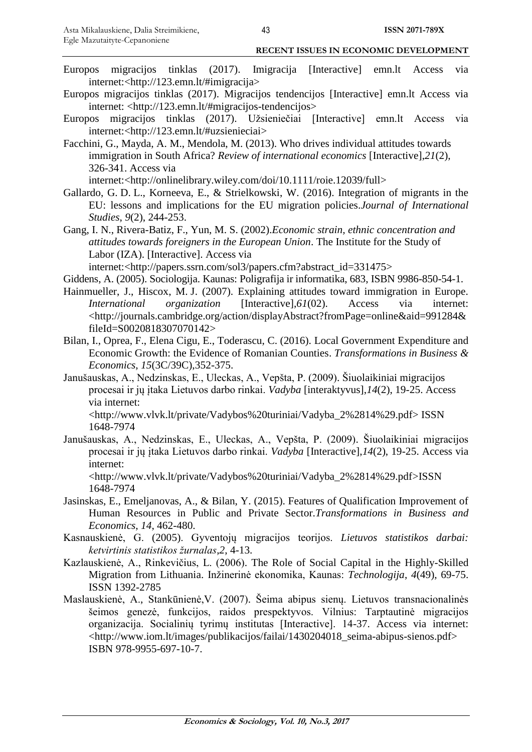- Europos migracijos tinklas (2017). Imigracija [Interactive] emn.lt Access via internet:[<http://123.emn.lt/#imigracija>](http://123.emn.lt/#imigracija)
- Europos migracijos tinklas (2017). Migracijos tendencijos [Interactive] emn.lt Access via internet: [<http://123.emn.lt/#migracijos-tendencijos>](http://123.emn.lt/#migracijos-tendencijos)
- Europos migracijos tinklas (2017). Užsieniečiai [Interactive] emn.lt Access via internet:[<http://123.emn.lt/#uzsienieciai>](http://123.emn.lt/#uzsienieciai)
- Facchini, G., Mayda, A. M., Mendola, M. (2013). Who drives individual attitudes towards immigration in South Africa? *Review of international economics* [Interactive],*21*(2), 326-341. Access via

internet:[<http://onlinelibrary.wiley.com/doi/10.1111/roie.12039/full>](http://onlinelibrary.wiley.com/doi/10.1111/roie.12039/full)

Gallardo, G. D. L., Korneeva, E., & Strielkowski, W. (2016). Integration of migrants in the EU: lessons and implications for the EU migration policies.*Journal of International Studies*, *9*(2), 244-253.

Gang, I. N., Rivera-Batiz, F., Yun, M. S. (2002).*Economic strain, ethnic concentration and attitudes towards foreigners in the European Union*. The Institute for the Study of Labor (IZA). [Interactive]. Access via

internet:[<http://papers.ssrn.com/sol3/papers.cfm?abstract\\_id=331475>](http://papers.ssrn.com/sol3/papers.cfm?abstract_id=331475)

- Giddens, A. (2005). Sociologija. Kaunas: Poligrafija ir informatika, 683, ISBN 9986-850-54-1.
- Hainmueller, J., Hiscox, M. J. (2007). Explaining attitudes toward immigration in Europe. *International organization* [Interactive],*61*(02). Access via internet: [<http://journals.cambridge.org/action/displayAbstract?fromPage=online&aid=991284&](http://journals.cambridge.org/action/displayAbstract?fromPage=online&aid=991284&fileId=S0020818307070142) [fileId=S0020818307070142>](http://journals.cambridge.org/action/displayAbstract?fromPage=online&aid=991284&fileId=S0020818307070142)
- Bilan, I., Oprea, F., Elena Cigu, E., Toderascu, C. (2016). Local Government Expenditure and Economic Growth: the Evidence of Romanian Counties. *Transformations in Business & Economics*, *15*(3C/39C),352-375.
- Janušauskas, A., Nedzinskas, E., Uleckas, A., Vepšta, P. (2009). Šiuolaikiniai migracijos procesai ir jų įtaka Lietuvos darbo rinkai. *Vadyba* [interaktyvus],*14*(2), 19-25. Access via internet:

[<http://www.vlvk.lt/private/Vadybos%20turiniai/Vadyba\\_2%2814%29.pdf>](http://www.vlvk.lt/private/Vadybos%20turiniai/Vadyba_2%2814%29.pdf) ISSN 1648-7974

Janušauskas, A., Nedzinskas, E., Uleckas, A., Vepšta, P. (2009). Šiuolaikiniai migracijos procesai ir jų įtaka Lietuvos darbo rinkai. *Vadyba* [Interactive],*14*(2), 19-25. Access via internet:

[<http://www.vlvk.lt/private/Vadybos%20turiniai/Vadyba\\_2%2814%29.pdf>](http://www.vlvk.lt/private/Vadybos%20turiniai/Vadyba_2%2814%29.pdf)ISSN 1648-7974

- Jasinskas, E., Emeljanovas, A., & Bilan, Y. (2015). Features of Qualification Improvement of Human Resources in Public and Private Sector.*Transformations in Business and Economics*, *14*, 462-480.
- Kasnauskienė, G. (2005). Gyventojų migracijos teorijos. *Lietuvos statistikos darbai: ketvirtinis statistikos žurnalas*,*2*, 4-13.
- Kazlauskienė, A., Rinkevičius, L. (2006). The Role of Social Capital in the Highly-Skilled Migration from Lithuania. Inžinerinė ekonomika, Kaunas: *Technologija*, *4*(49), 69-75. ISSN 1392-2785
- Maslauskienė, A., Stankūnienė,V. (2007). Šeima abipus sienų. Lietuvos transnacionalinės šeimos genezė, funkcijos, raidos prespektyvos. Vilnius: Tarptautinė migracijos organizacija. Socialinių tyrimų institutas [Interactive]. 14-37. Access via internet: [<http://www.iom.lt/images/publikacijos/failai/1430204018\\_seima-abipus-sienos.pdf>](http://www.iom.lt/images/publikacijos/failai/1430204018_seima-abipus-sienos.pdf) ISBN 978-9955-697-10-7.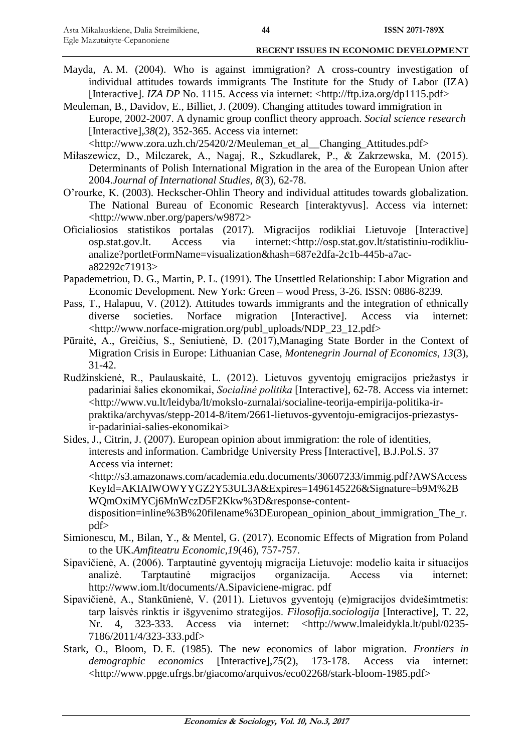- Mayda, A. M. (2004). Who is against immigration? A cross-country investigation of individual attitudes towards immigrants The Institute for the Study of Labor (IZA) [Interactive]. *IZA DP* No. 1115. Access via internet: [<http://ftp.iza.org/dp1115.pdf>](http://ftp.iza.org/dp1115.pdf)
- Meuleman, B., Davidov, E., Billiet, J. (2009). Changing attitudes toward immigration in Europe, 2002-2007. A dynamic group conflict theory approach. *Social science research* [Interactive],*38*(2), 352-365. Access via internet: [<http://www.zora.uzh.ch/25420/2/Meuleman\\_et\\_al\\_\\_Changing\\_Attitudes.pdf>](http://www.zora.uzh.ch/25420/2/Meuleman_et_al__Changing_Attitudes.pdf)
- Miłaszewicz, D., Milczarek, A., Nagaj, R., Szkudlarek, P., & Zakrzewska, M. (2015). Determinants of Polish International Migration in the area of the European Union after 2004.*Journal of International Studies*, *8*(3), 62-78.
- O"rourke, K. (2003). Heckscher-Ohlin Theory and individual attitudes towards globalization. The National Bureau of Economic Research [interaktyvus]. Access via internet: [<http://www.nber.org/papers/w9872>](http://www.nber.org/papers/w9872)
- Oficialiosios statistikos portalas (2017). Migracijos rodikliai Lietuvoje [Interactive] osp.stat.gov.lt. Access via internet:[<http://osp.stat.gov.lt/statistiniu-rodikliu](http://osp.stat.gov.lt/statistiniu-rodikliu-analize?portletFormName=visualization&hash=687e2dfa-2c1b-445b-a7ac-a82292c71913)[analize?portletFormName=visualization&hash=687e2dfa-2c1b-445b-a7ac](http://osp.stat.gov.lt/statistiniu-rodikliu-analize?portletFormName=visualization&hash=687e2dfa-2c1b-445b-a7ac-a82292c71913)[a82292c71913>](http://osp.stat.gov.lt/statistiniu-rodikliu-analize?portletFormName=visualization&hash=687e2dfa-2c1b-445b-a7ac-a82292c71913)
- Papademetriou, D. G., Martin, P. L. (1991). The Unsettled Relationship: Labor Migration and Economic Development. New York: Green – wood Press, 3-26. ISSN: 0886-8239.
- Pass, T., Halapuu, V. (2012). Attitudes towards immigrants and the integration of ethnically diverse societies. Norface migration [Interactive]. Access via internet: [<http://www.norface-migration.org/publ\\_uploads/NDP\\_23\\_12.pdf>](http://www.norface-migration.org/publ_uploads/NDP_23_12.pdf)
- Pūraitė, A., Greičius, S., Seniutienė, D. (2017),Managing State Border in the Context of Migration Crisis in Europe: Lithuanian Case, *Montenegrin Journal of Economics*, *13*(3), 31-42.
- Rudžinskienė, R., Paulauskaitė, L. (2012). Lietuvos gyventojų emigracijos priežastys ir padariniai šalies ekonomikai, *Socialinė politika* [Interactive], 62-78. Access via internet: [<http://www.vu.lt/leidyba/lt/mokslo-zurnalai/socialine-teorija-empirija-politika-ir](http://www.vu.lt/leidyba/lt/mokslo-zurnalai/socialine-teorija-empirija-politika-ir-praktika/archyvas/stepp-2014-8/item/2661-lietuvos-gyventoju-emigracijos-priezastys-ir-padariniai-salies-ekonomikai)[praktika/archyvas/stepp-2014-8/item/2661-lietuvos-gyventoju-emigracijos-priezastys](http://www.vu.lt/leidyba/lt/mokslo-zurnalai/socialine-teorija-empirija-politika-ir-praktika/archyvas/stepp-2014-8/item/2661-lietuvos-gyventoju-emigracijos-priezastys-ir-padariniai-salies-ekonomikai)[ir-padariniai-salies-ekonomikai>](http://www.vu.lt/leidyba/lt/mokslo-zurnalai/socialine-teorija-empirija-politika-ir-praktika/archyvas/stepp-2014-8/item/2661-lietuvos-gyventoju-emigracijos-priezastys-ir-padariniai-salies-ekonomikai)
- Sides, J., Citrin, J. (2007). European opinion about immigration: the role of identities, interests and information. Cambridge University Press [Interactive], B.J.Pol.S. 37 Access via internet: [<http://s3.amazonaws.com/academia.edu.documents/30607233/immig.pdf?AWSAccess](http://s3.amazonaws.com/academia.edu.documents/30607233/immig.pdf?AWSAccessKeyId=AKIAIWOWYYGZ2Y53UL3A&Expires=1496145226&Signature=b9M%2BWQmOxiMYCj6MnWczD5F2Kkw%3D&response-content-disposition=inline%3B%20filename%3DEuropean_opinion_about_immigration_The_r.pdf)

[KeyId=AKIAIWOWYYGZ2Y53UL3A&Expires=1496145226&Signature=b9M%2B](http://s3.amazonaws.com/academia.edu.documents/30607233/immig.pdf?AWSAccessKeyId=AKIAIWOWYYGZ2Y53UL3A&Expires=1496145226&Signature=b9M%2BWQmOxiMYCj6MnWczD5F2Kkw%3D&response-content-disposition=inline%3B%20filename%3DEuropean_opinion_about_immigration_The_r.pdf) [WQmOxiMYCj6MnWczD5F2Kkw%3D&response-content](http://s3.amazonaws.com/academia.edu.documents/30607233/immig.pdf?AWSAccessKeyId=AKIAIWOWYYGZ2Y53UL3A&Expires=1496145226&Signature=b9M%2BWQmOxiMYCj6MnWczD5F2Kkw%3D&response-content-disposition=inline%3B%20filename%3DEuropean_opinion_about_immigration_The_r.pdf)[disposition=inline%3B%20filename%3DEuropean\\_opinion\\_about\\_immigration\\_The\\_r.](http://s3.amazonaws.com/academia.edu.documents/30607233/immig.pdf?AWSAccessKeyId=AKIAIWOWYYGZ2Y53UL3A&Expires=1496145226&Signature=b9M%2BWQmOxiMYCj6MnWczD5F2Kkw%3D&response-content-disposition=inline%3B%20filename%3DEuropean_opinion_about_immigration_The_r.pdf) [pdf>](http://s3.amazonaws.com/academia.edu.documents/30607233/immig.pdf?AWSAccessKeyId=AKIAIWOWYYGZ2Y53UL3A&Expires=1496145226&Signature=b9M%2BWQmOxiMYCj6MnWczD5F2Kkw%3D&response-content-disposition=inline%3B%20filename%3DEuropean_opinion_about_immigration_The_r.pdf)

- Simionescu, M., Bilan, Y., & Mentel, G. (2017). Economic Effects of Migration from Poland to the UK.*Amfiteatru Economic*,*19*(46), 757-757.
- Sipavičienė, A. (2006). Tarptautinė gyventojų migracija Lietuvoje: modelio kaita ir situacijos analizė. Tarptautinė migracijos organizacija. Access via internet: [http://www.iom.lt/documents/A.Sipaviciene-migrac. pdf](http://www.iom.lt/documents/A.Sipaviciene-migrac.%20pdf)
- Sipavičienė, A., Stankūnienė, V. (2011). Lietuvos gyventojų (e)migracijos dvidešimtmetis: tarp laisvės rinktis ir išgyvenimo strategijos. *Filosofija.sociologija* [Interactive], T. 22, Nr. 4, 323-333. Access via internet: [<http://www.lmaleidykla.lt/publ/0235-](http://www.lmaleidykla.lt/publ/0235-7186/2011/4/323-333.pdf) [7186/2011/4/323-333.pdf>](http://www.lmaleidykla.lt/publ/0235-7186/2011/4/323-333.pdf)
- Stark, O., Bloom, D. E. (1985). The new economics of labor migration. *Frontiers in demographic economics* [Interactive],*75*(2), 173-178. Access via internet: [<http://www.ppge.ufrgs.br/giacomo/arquivos/eco02268/stark-bloom-1985.pdf>](http://www.ppge.ufrgs.br/giacomo/arquivos/eco02268/stark-bloom-1985.pdf)